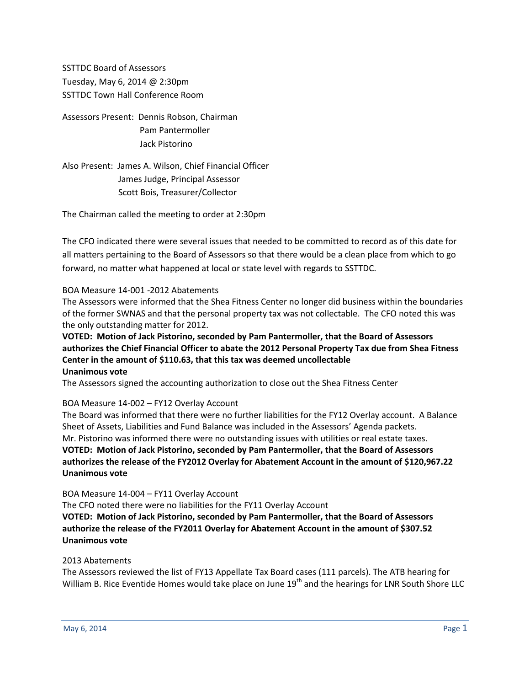SSTTDC Board of Assessors Tuesday, May 6, 2014 @ 2:30pm SSTTDC Town Hall Conference Room

Assessors Present: Dennis Robson, Chairman Pam Pantermoller Jack Pistorino

Also Present: James A. Wilson, Chief Financial Officer James Judge, Principal Assessor Scott Bois, Treasurer/Collector

The Chairman called the meeting to order at 2:30pm

The CFO indicated there were several issues that needed to be committed to record as of this date for all matters pertaining to the Board of Assessors so that there would be a clean place from which to go forward, no matter what happened at local or state level with regards to SSTTDC.

## BOA Measure 14-001 -2012 Abatements

The Assessors were informed that the Shea Fitness Center no longer did business within the boundaries of the former SWNAS and that the personal property tax was not collectable. The CFO noted this was the only outstanding matter for 2012.

**VOTED: Motion of Jack Pistorino, seconded by Pam Pantermoller, that the Board of Assessors authorizes the Chief Financial Officer to abate the 2012 Personal Property Tax due from Shea Fitness Center in the amount of \$110.63, that this tax was deemed uncollectable Unanimous vote**

The Assessors signed the accounting authorization to close out the Shea Fitness Center

## BOA Measure 14-002 – FY12 Overlay Account

The Board was informed that there were no further liabilities for the FY12 Overlay account. A Balance Sheet of Assets, Liabilities and Fund Balance was included in the Assessors' Agenda packets. Mr. Pistorino was informed there were no outstanding issues with utilities or real estate taxes. **VOTED: Motion of Jack Pistorino, seconded by Pam Pantermoller, that the Board of Assessors authorizes the release of the FY2012 Overlay for Abatement Account in the amount of \$120,967.22 Unanimous vote**

BOA Measure 14-004 – FY11 Overlay Account

The CFO noted there were no liabilities for the FY11 Overlay Account

**VOTED: Motion of Jack Pistorino, seconded by Pam Pantermoller, that the Board of Assessors authorize the release of the FY2011 Overlay for Abatement Account in the amount of \$307.52 Unanimous vote**

## 2013 Abatements

The Assessors reviewed the list of FY13 Appellate Tax Board cases (111 parcels). The ATB hearing for William B. Rice Eventide Homes would take place on June 19<sup>th</sup> and the hearings for LNR South Shore LLC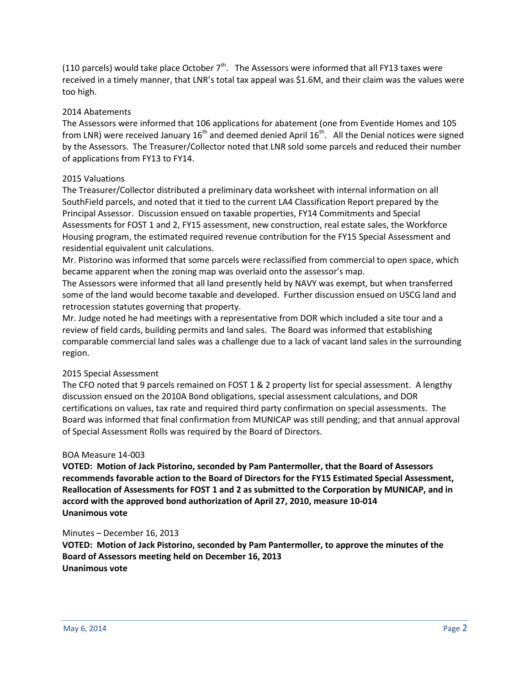(110 parcels) would take place October  $7<sup>th</sup>$ . The Assessors were informed that all FY13 taxes were received in a timely manner, that LNR's total tax appeal was \$1.6M, and their claim was the values were too high.

## 2014 Abatements

The Assessors were informed that 106 applications for abatement (one from Eventide Homes and 105 from LNR) were received January 16<sup>th</sup> and deemed denied April 16<sup>th</sup>. All the Denial notices were signed by the Assessors. The Treasurer/Collector noted that LNR sold some parcels and reduced their number of applications from FY13 to FY14.

## 2015 Valuations

The Treasurer/Collector distributed a preliminary data worksheet with internal information on all SouthField parcels, and noted that it tied to the current LA4 Classification Report prepared by the Principal Assessor. Discussion ensued on taxable properties, FY14 Commitments and Special Assessments for FOST 1 and 2, FY15 assessment, new construction, real estate sales, the Workforce Housing program, the estimated required revenue contribution for the FY15 Special Assessment and residential equivalent unit calculations.

Mr. Pistorino was informed that some parcels were reclassified from commercial to open space, which became apparent when the zoning map was overlaid onto the assessor's map.

The Assessors were informed that all land presently held by NAVY was exempt, but when transferred some of the land would become taxable and developed. Further discussion ensued on USCG land and retrocession statutes governing that property.

Mr. Judge noted he had meetings with a representative from DOR which included a site tour and a review of field cards, building permits and land sales. The Board was informed that establishing comparable commercial land sales was a challenge due to a lack of vacant land sales in the surrounding region.

## 2015 Special Assessment

The CFO noted that 9 parcels remained on FOST 1 & 2 property list for special assessment. A lengthy discussion ensued on the 2010A Bond obligations, special assessment calculations, and DOR certifications on values, tax rate and required third party confirmation on special assessments. The Board was informed that final confirmation from MUNICAP was still pending; and that annual approval of Special Assessment Rolls was required by the Board of Directors.

## BOA Measure 14-003

**VOTED: Motion of Jack Pistorino, seconded by Pam Pantermoller, that the Board of Assessors recommends favorable action to the Board of Directors for the FY15 Estimated Special Assessment, Reallocation of Assessments for FOST 1 and 2 as submitted to the Corporation by MUNICAP, and in accord with the approved bond authorization of April 27, 2010, measure 10-014 Unanimous vote**

## Minutes – December 16, 2013

**VOTED: Motion of Jack Pistorino, seconded by Pam Pantermoller, to approve the minutes of the Board of Assessors meeting held on December 16, 2013 Unanimous vote**